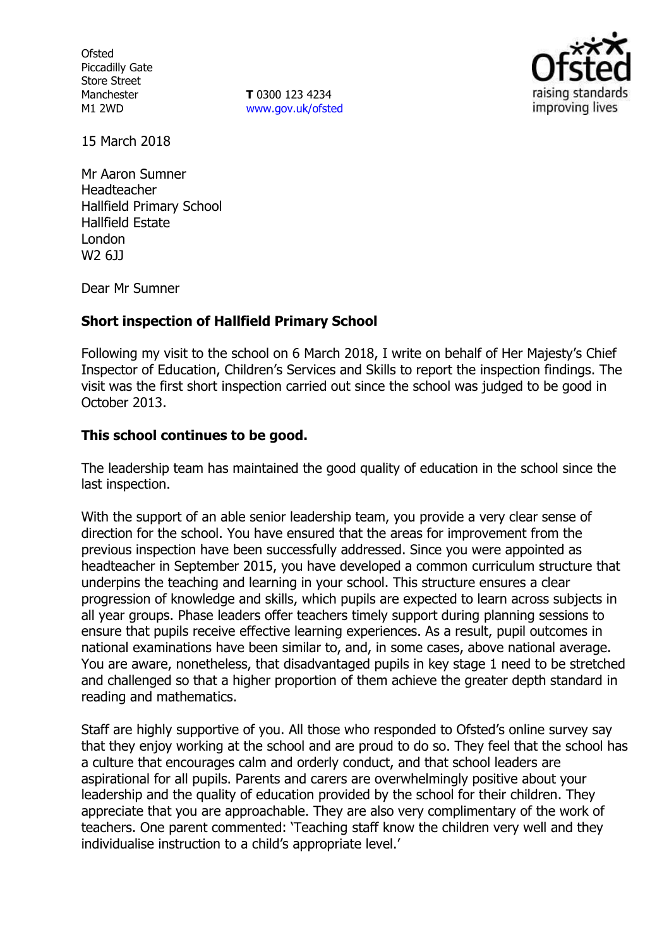**Ofsted** Piccadilly Gate Store Street Manchester M1 2WD

**T** 0300 123 4234 www.gov.uk/ofsted



15 March 2018

Mr Aaron Sumner Headteacher Hallfield Primary School Hallfield Estate London W2 6JJ

Dear Mr Sumner

## **Short inspection of Hallfield Primary School**

Following my visit to the school on 6 March 2018, I write on behalf of Her Majesty's Chief Inspector of Education, Children's Services and Skills to report the inspection findings. The visit was the first short inspection carried out since the school was judged to be good in October 2013.

#### **This school continues to be good.**

The leadership team has maintained the good quality of education in the school since the last inspection.

With the support of an able senior leadership team, you provide a very clear sense of direction for the school. You have ensured that the areas for improvement from the previous inspection have been successfully addressed. Since you were appointed as headteacher in September 2015, you have developed a common curriculum structure that underpins the teaching and learning in your school. This structure ensures a clear progression of knowledge and skills, which pupils are expected to learn across subjects in all year groups. Phase leaders offer teachers timely support during planning sessions to ensure that pupils receive effective learning experiences. As a result, pupil outcomes in national examinations have been similar to, and, in some cases, above national average. You are aware, nonetheless, that disadvantaged pupils in key stage 1 need to be stretched and challenged so that a higher proportion of them achieve the greater depth standard in reading and mathematics.

Staff are highly supportive of you. All those who responded to Ofsted's online survey say that they enjoy working at the school and are proud to do so. They feel that the school has a culture that encourages calm and orderly conduct, and that school leaders are aspirational for all pupils. Parents and carers are overwhelmingly positive about your leadership and the quality of education provided by the school for their children. They appreciate that you are approachable. They are also very complimentary of the work of teachers. One parent commented: 'Teaching staff know the children very well and they individualise instruction to a child's appropriate level.'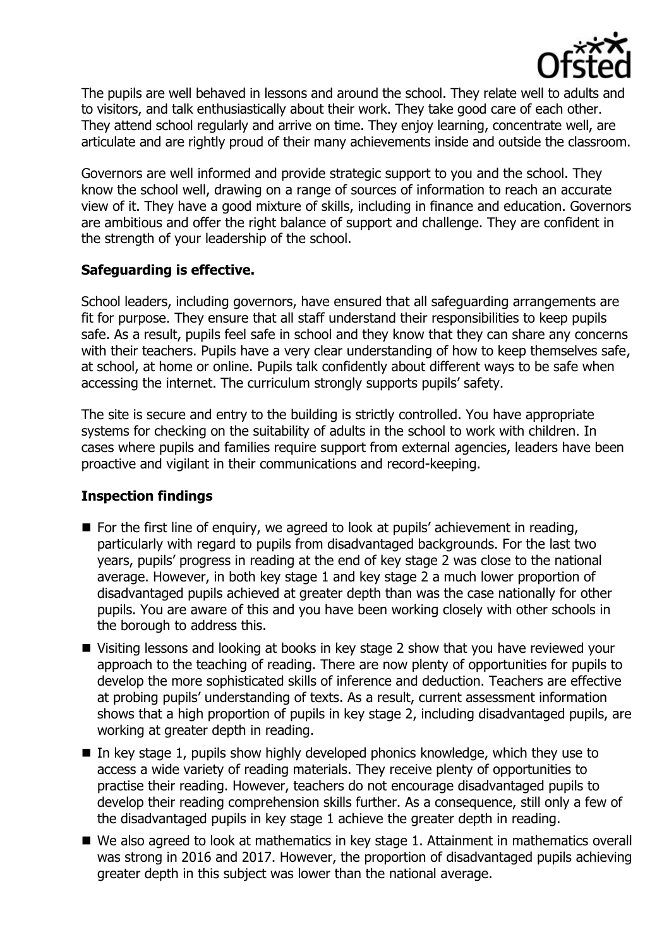

The pupils are well behaved in lessons and around the school. They relate well to adults and to visitors, and talk enthusiastically about their work. They take good care of each other. They attend school regularly and arrive on time. They enjoy learning, concentrate well, are articulate and are rightly proud of their many achievements inside and outside the classroom.

Governors are well informed and provide strategic support to you and the school. They know the school well, drawing on a range of sources of information to reach an accurate view of it. They have a good mixture of skills, including in finance and education. Governors are ambitious and offer the right balance of support and challenge. They are confident in the strength of your leadership of the school.

## **Safeguarding is effective.**

School leaders, including governors, have ensured that all safeguarding arrangements are fit for purpose. They ensure that all staff understand their responsibilities to keep pupils safe. As a result, pupils feel safe in school and they know that they can share any concerns with their teachers. Pupils have a very clear understanding of how to keep themselves safe, at school, at home or online. Pupils talk confidently about different ways to be safe when accessing the internet. The curriculum strongly supports pupils' safety.

The site is secure and entry to the building is strictly controlled. You have appropriate systems for checking on the suitability of adults in the school to work with children. In cases where pupils and families require support from external agencies, leaders have been proactive and vigilant in their communications and record-keeping.

# **Inspection findings**

- For the first line of enquiry, we agreed to look at pupils' achievement in reading, particularly with regard to pupils from disadvantaged backgrounds. For the last two years, pupils' progress in reading at the end of key stage 2 was close to the national average. However, in both key stage 1 and key stage 2 a much lower proportion of disadvantaged pupils achieved at greater depth than was the case nationally for other pupils. You are aware of this and you have been working closely with other schools in the borough to address this.
- Visiting lessons and looking at books in key stage 2 show that you have reviewed your approach to the teaching of reading. There are now plenty of opportunities for pupils to develop the more sophisticated skills of inference and deduction. Teachers are effective at probing pupils' understanding of texts. As a result, current assessment information shows that a high proportion of pupils in key stage 2, including disadvantaged pupils, are working at greater depth in reading.
- In key stage 1, pupils show highly developed phonics knowledge, which they use to access a wide variety of reading materials. They receive plenty of opportunities to practise their reading. However, teachers do not encourage disadvantaged pupils to develop their reading comprehension skills further. As a consequence, still only a few of the disadvantaged pupils in key stage 1 achieve the greater depth in reading.
- We also agreed to look at mathematics in key stage 1. Attainment in mathematics overall was strong in 2016 and 2017. However, the proportion of disadvantaged pupils achieving greater depth in this subject was lower than the national average.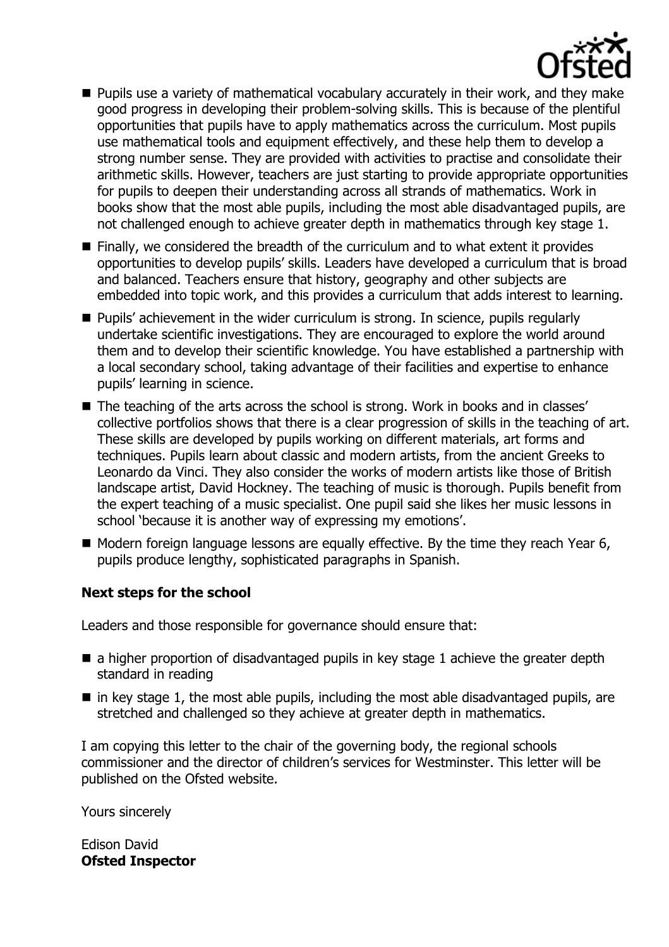

- **Pupils use a variety of mathematical vocabulary accurately in their work, and they make** good progress in developing their problem-solving skills. This is because of the plentiful opportunities that pupils have to apply mathematics across the curriculum. Most pupils use mathematical tools and equipment effectively, and these help them to develop a strong number sense. They are provided with activities to practise and consolidate their arithmetic skills. However, teachers are just starting to provide appropriate opportunities for pupils to deepen their understanding across all strands of mathematics. Work in books show that the most able pupils, including the most able disadvantaged pupils, are not challenged enough to achieve greater depth in mathematics through key stage 1.
- Finally, we considered the breadth of the curriculum and to what extent it provides opportunities to develop pupils' skills. Leaders have developed a curriculum that is broad and balanced. Teachers ensure that history, geography and other subjects are embedded into topic work, and this provides a curriculum that adds interest to learning.
- Pupils' achievement in the wider curriculum is strong. In science, pupils regularly undertake scientific investigations. They are encouraged to explore the world around them and to develop their scientific knowledge. You have established a partnership with a local secondary school, taking advantage of their facilities and expertise to enhance pupils' learning in science.
- The teaching of the arts across the school is strong. Work in books and in classes' collective portfolios shows that there is a clear progression of skills in the teaching of art. These skills are developed by pupils working on different materials, art forms and techniques. Pupils learn about classic and modern artists, from the ancient Greeks to Leonardo da Vinci. They also consider the works of modern artists like those of British landscape artist, David Hockney. The teaching of music is thorough. Pupils benefit from the expert teaching of a music specialist. One pupil said she likes her music lessons in school 'because it is another way of expressing my emotions'.
- $\blacksquare$  Modern foreign language lessons are equally effective. By the time they reach Year 6, pupils produce lengthy, sophisticated paragraphs in Spanish.

# **Next steps for the school**

Leaders and those responsible for governance should ensure that:

- a higher proportion of disadvantaged pupils in key stage 1 achieve the greater depth standard in reading
- $\blacksquare$  in key stage 1, the most able pupils, including the most able disadvantaged pupils, are stretched and challenged so they achieve at greater depth in mathematics.

I am copying this letter to the chair of the governing body, the regional schools commissioner and the director of children's services for Westminster. This letter will be published on the Ofsted website.

Yours sincerely

Edison David **Ofsted Inspector**